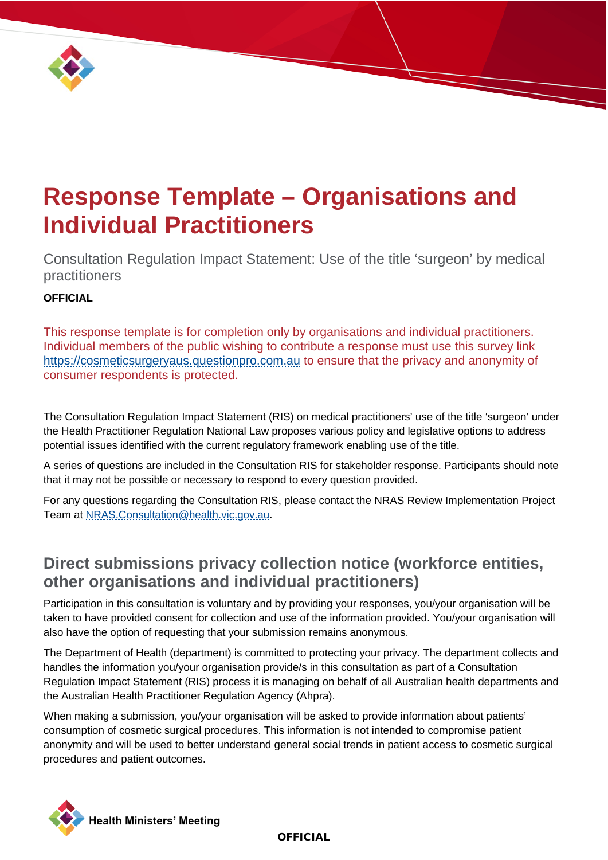

# **Response Template – Organisations and Individual Practitioners**

Consultation Regulation Impact Statement: Use of the title 'surgeon' by medical practitioners

### **OFFICIAL**

This response template is for completion only by organisations and individual practitioners. Individual members of the public wishing to contribute a response must use this survey link [https://cosmeticsurgeryaus.questionpro.com.au](https://urldefense.proofpoint.com/v2/url?u=https-3A__cosmeticsurgeryaus.questionpro.com.au&d=DwMFAg&c=JnBkUqWXzx2bz-3a05d47Q&r=dUYW1XDFxOY8W4BdpeVbVGDgZU3czqAwmyqlme_yDwE7WWWolmCJyz0BnlosYawc&m=fEOyTntEm65hNd9sZQfWgacc4UUICBbMRPHKX_TUYgQtWsftkGWCCJfPSFt-5084&s=zf2numbw4Awn1uoGFiQL34UIQnr8wFd6f-s7RXMkHZM&e=) to ensure that the privacy and anonymity of consumer respondents is protected.

The Consultation Regulation Impact Statement (RIS) on medical practitioners' use of the title 'surgeon' under the Health Practitioner Regulation National Law proposes various policy and legislative options to address potential issues identified with the current regulatory framework enabling use of the title.

A series of questions are included in the Consultation RIS for stakeholder response. Participants should note that it may not be possible or necessary to respond to every question provided.

For any questions regarding the Consultation RIS, please contact the NRAS Review Implementation Project Team at [NRAS.Consultation@health.vic.gov.au.](mailto:NRAS.Consultation@health.vic.gov.au)

### **Direct submissions privacy collection notice (workforce entities, other organisations and individual practitioners)**

Participation in this consultation is voluntary and by providing your responses, you/your organisation will be taken to have provided consent for collection and use of the information provided. You/your organisation will also have the option of requesting that your submission remains anonymous.

The Department of Health (department) is committed to protecting your privacy. The department collects and handles the information you/your organisation provide/s in this consultation as part of a Consultation Regulation Impact Statement (RIS) process it is managing on behalf of all Australian health departments and the Australian Health Practitioner Regulation Agency (Ahpra).

When making a submission, you/your organisation will be asked to provide information about patients' consumption of cosmetic surgical procedures. This information is not intended to compromise patient anonymity and will be used to better understand general social trends in patient access to cosmetic surgical procedures and patient outcomes.

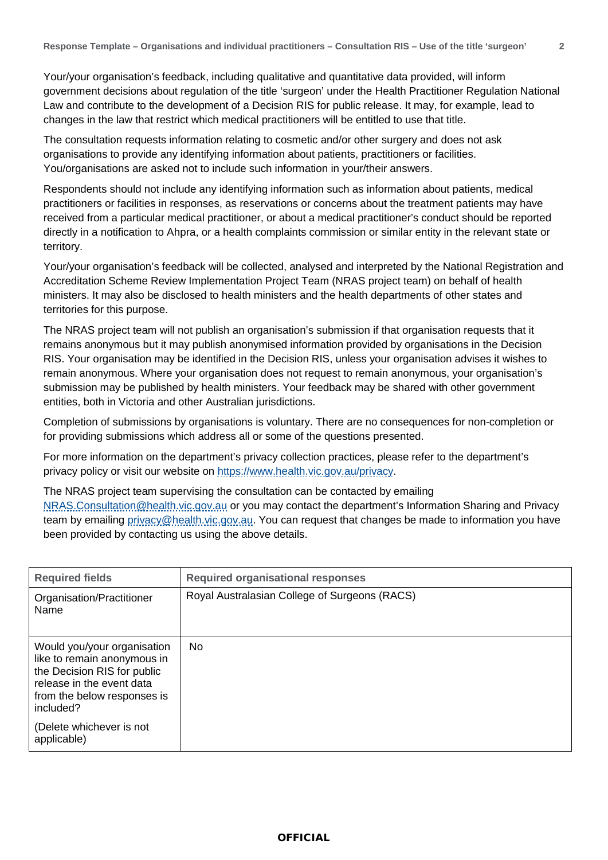Your/your organisation's feedback, including qualitative and quantitative data provided, will inform government decisions about regulation of the title 'surgeon' under the Health Practitioner Regulation National Law and contribute to the development of a Decision RIS for public release. It may, for example, lead to changes in the law that restrict which medical practitioners will be entitled to use that title.

The consultation requests information relating to cosmetic and/or other surgery and does not ask organisations to provide any identifying information about patients, practitioners or facilities. You/organisations are asked not to include such information in your/their answers.

Respondents should not include any identifying information such as information about patients, medical practitioners or facilities in responses, as reservations or concerns about the treatment patients may have received from a particular medical practitioner, or about a medical practitioner's conduct should be reported directly in a notification to Ahpra, or a health complaints commission or similar entity in the relevant state or territory.

Your/your organisation's feedback will be collected, analysed and interpreted by the National Registration and Accreditation Scheme Review Implementation Project Team (NRAS project team) on behalf of health ministers. It may also be disclosed to health ministers and the health departments of other states and territories for this purpose.

The NRAS project team will not publish an organisation's submission if that organisation requests that it remains anonymous but it may publish anonymised information provided by organisations in the Decision RIS. Your organisation may be identified in the Decision RIS, unless your organisation advises it wishes to remain anonymous. Where your organisation does not request to remain anonymous, your organisation's submission may be published by health ministers. Your feedback may be shared with other government entities, both in Victoria and other Australian jurisdictions.

Completion of submissions by organisations is voluntary. There are no consequences for non-completion or for providing submissions which address all or some of the questions presented.

For more information on the department's privacy collection practices, please refer to the department's privacy policy or visit our website on [https://www.health.vic.gov.au/privacy.](https://www.health.vic.gov.au/privacy)

The NRAS project team supervising the consultation can be contacted by emailing [NRAS.Consultation@health.vic.gov.au](mailto:NRAS.Consultation@health.vic.gov.au) or you may contact the department's Information Sharing and Privacy team by emailing [privacy@health.vic.gov.au.](mailto:privacy@health.vic.gov.au) You can request that changes be made to information you have been provided by contacting us using the above details.

| <b>Required fields</b>                                                                                                                                             | <b>Required organisational responses</b>      |
|--------------------------------------------------------------------------------------------------------------------------------------------------------------------|-----------------------------------------------|
| Organisation/Practitioner<br>Name                                                                                                                                  | Royal Australasian College of Surgeons (RACS) |
| Would you/your organisation<br>like to remain anonymous in<br>the Decision RIS for public<br>release in the event data<br>from the below responses is<br>included? | No.                                           |
| (Delete whichever is not<br>applicable)                                                                                                                            |                                               |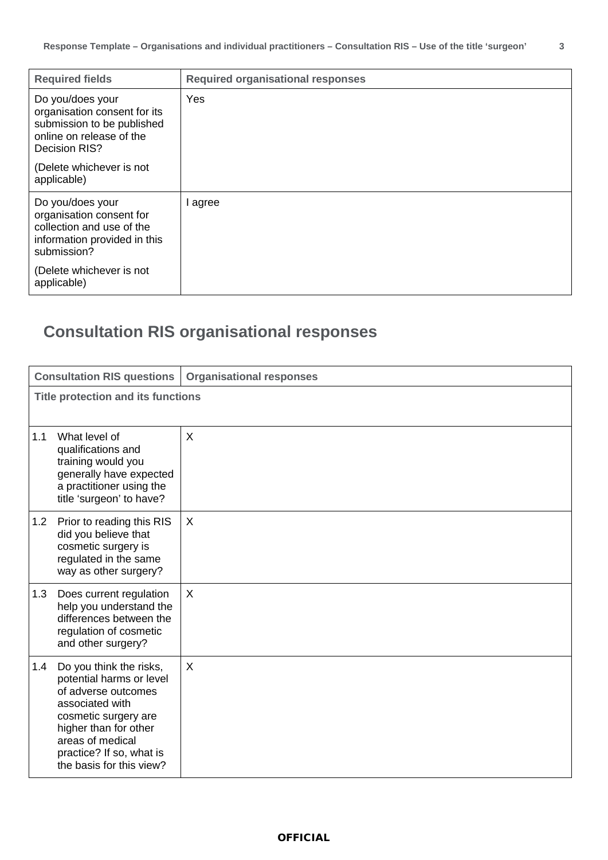| <b>Required fields</b>                                                                                                                               | <b>Required organisational responses</b> |
|------------------------------------------------------------------------------------------------------------------------------------------------------|------------------------------------------|
| Do you/does your<br>organisation consent for its<br>submission to be published<br>online on release of the<br>Decision RIS?                          | Yes                                      |
| (Delete whichever is not<br>applicable)                                                                                                              |                                          |
| Do you/does your<br>organisation consent for<br>collection and use of the<br>information provided in this<br>submission?<br>(Delete whichever is not | I agree                                  |
| applicable)                                                                                                                                          |                                          |

## **Consultation RIS organisational responses**

|     | <b>Consultation RIS questions</b>                                                                                                                                                                                          | <b>Organisational responses</b> |  |
|-----|----------------------------------------------------------------------------------------------------------------------------------------------------------------------------------------------------------------------------|---------------------------------|--|
|     | <b>Title protection and its functions</b>                                                                                                                                                                                  |                                 |  |
| 1.1 | What level of<br>qualifications and<br>training would you<br>generally have expected<br>a practitioner using the<br>title 'surgeon' to have?                                                                               | X                               |  |
| 1.2 | Prior to reading this RIS<br>did you believe that<br>cosmetic surgery is<br>regulated in the same<br>way as other surgery?                                                                                                 | X                               |  |
| 1.3 | Does current regulation<br>help you understand the<br>differences between the<br>regulation of cosmetic<br>and other surgery?                                                                                              | X                               |  |
| 1.4 | Do you think the risks,<br>potential harms or level<br>of adverse outcomes<br>associated with<br>cosmetic surgery are<br>higher than for other<br>areas of medical<br>practice? If so, what is<br>the basis for this view? | X                               |  |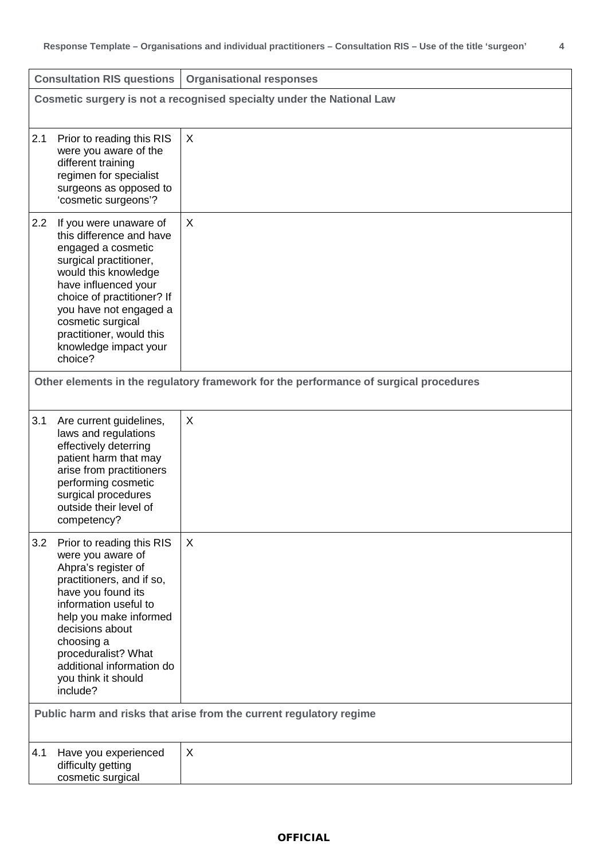|                                                                       | <b>Consultation RIS questions</b>                                                                                                                                                                                                                                                       | <b>Organisational responses</b>                                                                   |
|-----------------------------------------------------------------------|-----------------------------------------------------------------------------------------------------------------------------------------------------------------------------------------------------------------------------------------------------------------------------------------|---------------------------------------------------------------------------------------------------|
| Cosmetic surgery is not a recognised specialty under the National Law |                                                                                                                                                                                                                                                                                         |                                                                                                   |
| 2.1                                                                   | Prior to reading this RIS<br>were you aware of the<br>different training<br>regimen for specialist<br>surgeons as opposed to<br>'cosmetic surgeons'?                                                                                                                                    | X                                                                                                 |
| 2.2<br>choice?                                                        | If you were unaware of<br>this difference and have<br>engaged a cosmetic<br>surgical practitioner,<br>would this knowledge<br>have influenced your<br>choice of practitioner? If<br>you have not engaged a<br>cosmetic surgical<br>practitioner, would this<br>knowledge impact your    | $\times$<br>Other elements in the regulatory framework for the performance of surgical procedures |
| 3.1                                                                   | Are current guidelines,<br>laws and regulations<br>effectively deterring<br>patient harm that may<br>arise from practitioners<br>performing cosmetic<br>surgical procedures<br>outside their level of<br>competency?                                                                    | $\times$                                                                                          |
| 3.2<br>include?                                                       | Prior to reading this RIS<br>were you aware of<br>Ahpra's register of<br>practitioners, and if so,<br>have you found its<br>information useful to<br>help you make informed<br>decisions about<br>choosing a<br>proceduralist? What<br>additional information do<br>you think it should | X<br>Public harm and risks that arise from the current regulatory regime                          |
| 4.1                                                                   | Have you experienced<br>difficulty getting<br>cosmetic surgical                                                                                                                                                                                                                         | X                                                                                                 |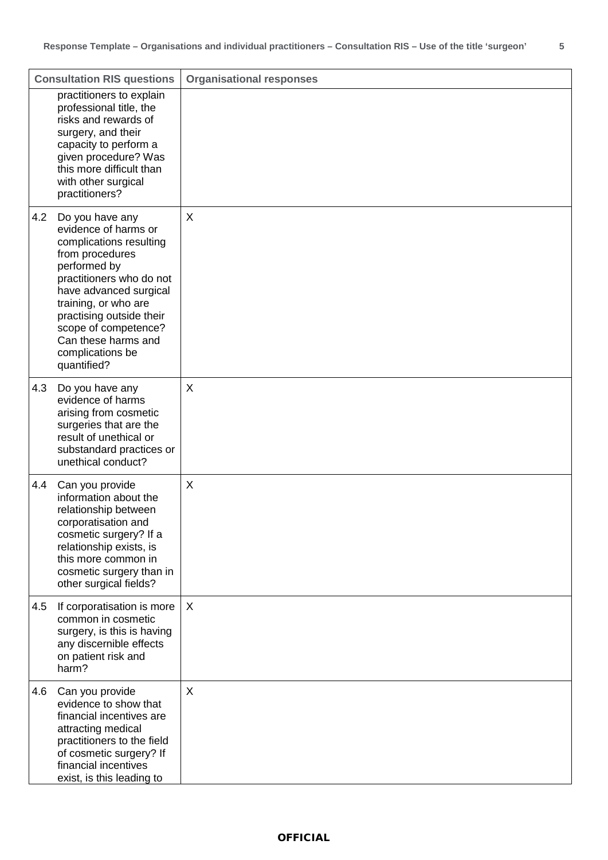|     | <b>Consultation RIS questions</b>                                                                                                                                                                                                                                                                 | <b>Organisational responses</b> |
|-----|---------------------------------------------------------------------------------------------------------------------------------------------------------------------------------------------------------------------------------------------------------------------------------------------------|---------------------------------|
|     | practitioners to explain<br>professional title, the<br>risks and rewards of<br>surgery, and their<br>capacity to perform a<br>given procedure? Was<br>this more difficult than<br>with other surgical<br>practitioners?                                                                           |                                 |
| 4.2 | Do you have any<br>evidence of harms or<br>complications resulting<br>from procedures<br>performed by<br>practitioners who do not<br>have advanced surgical<br>training, or who are<br>practising outside their<br>scope of competence?<br>Can these harms and<br>complications be<br>quantified? | X                               |
| 4.3 | Do you have any<br>evidence of harms<br>arising from cosmetic<br>surgeries that are the<br>result of unethical or<br>substandard practices or<br>unethical conduct?                                                                                                                               | X                               |
| 4.4 | Can you provide<br>information about the<br>relationship between<br>corporatisation and<br>cosmetic surgery? If a<br>relationship exists, is<br>this more common in<br>cosmetic surgery than in<br>other surgical fields?                                                                         | X                               |
| 4.5 | If corporatisation is more<br>common in cosmetic<br>surgery, is this is having<br>any discernible effects<br>on patient risk and<br>harm?                                                                                                                                                         | X                               |
| 4.6 | Can you provide<br>evidence to show that<br>financial incentives are<br>attracting medical<br>practitioners to the field<br>of cosmetic surgery? If<br>financial incentives<br>exist, is this leading to                                                                                          | X                               |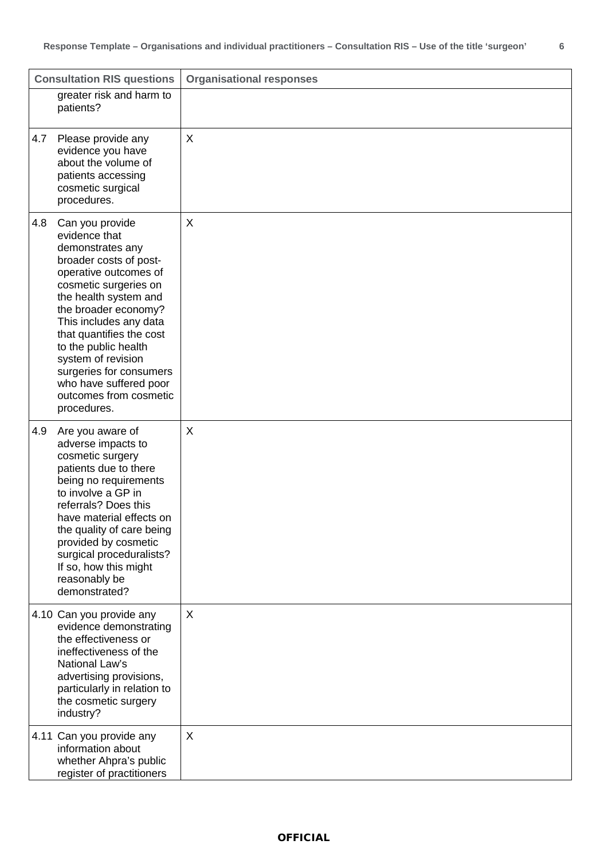| <b>Consultation RIS questions</b>                                                                                                                                                                                                                                                                                                                                                          | <b>Organisational responses</b> |
|--------------------------------------------------------------------------------------------------------------------------------------------------------------------------------------------------------------------------------------------------------------------------------------------------------------------------------------------------------------------------------------------|---------------------------------|
| greater risk and harm to<br>patients?                                                                                                                                                                                                                                                                                                                                                      |                                 |
| 4.7<br>Please provide any<br>evidence you have<br>about the volume of<br>patients accessing<br>cosmetic surgical<br>procedures.                                                                                                                                                                                                                                                            | X                               |
| 4.8<br>Can you provide<br>evidence that<br>demonstrates any<br>broader costs of post-<br>operative outcomes of<br>cosmetic surgeries on<br>the health system and<br>the broader economy?<br>This includes any data<br>that quantifies the cost<br>to the public health<br>system of revision<br>surgeries for consumers<br>who have suffered poor<br>outcomes from cosmetic<br>procedures. | X                               |
| 4.9<br>Are you aware of<br>adverse impacts to<br>cosmetic surgery<br>patients due to there<br>being no requirements<br>to involve a GP in<br>referrals? Does this<br>have material effects on<br>the quality of care being<br>provided by cosmetic<br>surgical proceduralists?<br>If so, how this might<br>reasonably be<br>demonstrated?                                                  | X                               |
| 4.10 Can you provide any<br>evidence demonstrating<br>the effectiveness or<br>ineffectiveness of the<br>National Law's<br>advertising provisions,<br>particularly in relation to<br>the cosmetic surgery<br>industry?                                                                                                                                                                      | X                               |
| 4.11 Can you provide any<br>information about<br>whether Ahpra's public<br>register of practitioners                                                                                                                                                                                                                                                                                       | X                               |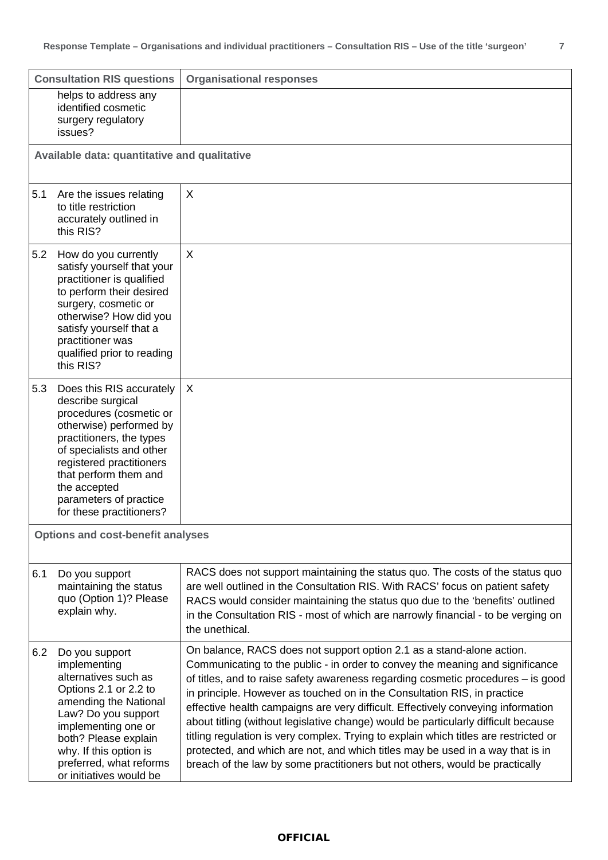|                                          | <b>Consultation RIS questions</b>                                                                                                                                                                                                                                                      | <b>Organisational responses</b>                                                                                                                                                                                                                                                                                                                                                                                                                                                                                                                                                                                                                                                                                                                            |
|------------------------------------------|----------------------------------------------------------------------------------------------------------------------------------------------------------------------------------------------------------------------------------------------------------------------------------------|------------------------------------------------------------------------------------------------------------------------------------------------------------------------------------------------------------------------------------------------------------------------------------------------------------------------------------------------------------------------------------------------------------------------------------------------------------------------------------------------------------------------------------------------------------------------------------------------------------------------------------------------------------------------------------------------------------------------------------------------------------|
|                                          | helps to address any<br>identified cosmetic<br>surgery regulatory<br>issues?                                                                                                                                                                                                           |                                                                                                                                                                                                                                                                                                                                                                                                                                                                                                                                                                                                                                                                                                                                                            |
|                                          | Available data: quantitative and qualitative                                                                                                                                                                                                                                           |                                                                                                                                                                                                                                                                                                                                                                                                                                                                                                                                                                                                                                                                                                                                                            |
| 5.1                                      | Are the issues relating<br>to title restriction<br>accurately outlined in<br>this RIS?                                                                                                                                                                                                 | X                                                                                                                                                                                                                                                                                                                                                                                                                                                                                                                                                                                                                                                                                                                                                          |
| 5.2                                      | How do you currently<br>satisfy yourself that your<br>practitioner is qualified<br>to perform their desired<br>surgery, cosmetic or<br>otherwise? How did you<br>satisfy yourself that a<br>practitioner was<br>qualified prior to reading<br>this RIS?                                | X                                                                                                                                                                                                                                                                                                                                                                                                                                                                                                                                                                                                                                                                                                                                                          |
| 5.3                                      | Does this RIS accurately<br>describe surgical<br>procedures (cosmetic or<br>otherwise) performed by<br>practitioners, the types<br>of specialists and other<br>registered practitioners<br>that perform them and<br>the accepted<br>parameters of practice<br>for these practitioners? | X                                                                                                                                                                                                                                                                                                                                                                                                                                                                                                                                                                                                                                                                                                                                                          |
| <b>Options and cost-benefit analyses</b> |                                                                                                                                                                                                                                                                                        |                                                                                                                                                                                                                                                                                                                                                                                                                                                                                                                                                                                                                                                                                                                                                            |
| 6.1                                      | Do you support<br>maintaining the status<br>quo (Option 1)? Please<br>explain why.                                                                                                                                                                                                     | RACS does not support maintaining the status quo. The costs of the status quo<br>are well outlined in the Consultation RIS. With RACS' focus on patient safety<br>RACS would consider maintaining the status quo due to the 'benefits' outlined<br>in the Consultation RIS - most of which are narrowly financial - to be verging on<br>the unethical.                                                                                                                                                                                                                                                                                                                                                                                                     |
| 6.2                                      | Do you support<br>implementing<br>alternatives such as<br>Options 2.1 or 2.2 to<br>amending the National<br>Law? Do you support<br>implementing one or<br>both? Please explain<br>why. If this option is<br>preferred, what reforms<br>or initiatives would be                         | On balance, RACS does not support option 2.1 as a stand-alone action.<br>Communicating to the public - in order to convey the meaning and significance<br>of titles, and to raise safety awareness regarding cosmetic procedures - is good<br>in principle. However as touched on in the Consultation RIS, in practice<br>effective health campaigns are very difficult. Effectively conveying information<br>about titling (without legislative change) would be particularly difficult because<br>titling regulation is very complex. Trying to explain which titles are restricted or<br>protected, and which are not, and which titles may be used in a way that is in<br>breach of the law by some practitioners but not others, would be practically |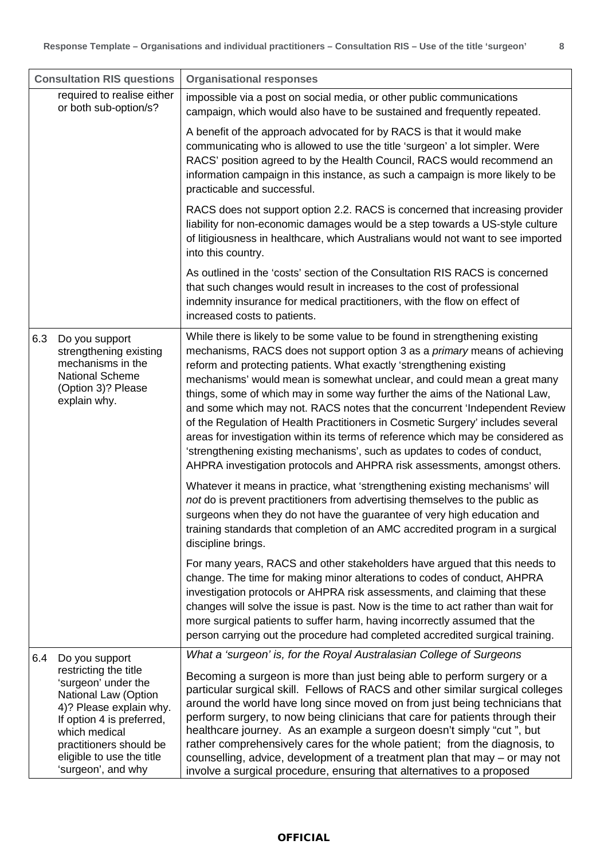| <b>Consultation RIS questions</b>                                                                                                                                                                                                                    | <b>Organisational responses</b>                                                                                                                                                                                                                                                                                                                                                                                                                                                                                                                                                                                                                                                                                                                                                                                                                                                                                                                                                                                                                                                                                                                                                                                                                    |
|------------------------------------------------------------------------------------------------------------------------------------------------------------------------------------------------------------------------------------------------------|----------------------------------------------------------------------------------------------------------------------------------------------------------------------------------------------------------------------------------------------------------------------------------------------------------------------------------------------------------------------------------------------------------------------------------------------------------------------------------------------------------------------------------------------------------------------------------------------------------------------------------------------------------------------------------------------------------------------------------------------------------------------------------------------------------------------------------------------------------------------------------------------------------------------------------------------------------------------------------------------------------------------------------------------------------------------------------------------------------------------------------------------------------------------------------------------------------------------------------------------------|
| required to realise either<br>or both sub-option/s?                                                                                                                                                                                                  | impossible via a post on social media, or other public communications<br>campaign, which would also have to be sustained and frequently repeated.                                                                                                                                                                                                                                                                                                                                                                                                                                                                                                                                                                                                                                                                                                                                                                                                                                                                                                                                                                                                                                                                                                  |
|                                                                                                                                                                                                                                                      | A benefit of the approach advocated for by RACS is that it would make<br>communicating who is allowed to use the title 'surgeon' a lot simpler. Were<br>RACS' position agreed to by the Health Council, RACS would recommend an<br>information campaign in this instance, as such a campaign is more likely to be<br>practicable and successful.                                                                                                                                                                                                                                                                                                                                                                                                                                                                                                                                                                                                                                                                                                                                                                                                                                                                                                   |
|                                                                                                                                                                                                                                                      | RACS does not support option 2.2. RACS is concerned that increasing provider<br>liability for non-economic damages would be a step towards a US-style culture<br>of litigiousness in healthcare, which Australians would not want to see imported<br>into this country.                                                                                                                                                                                                                                                                                                                                                                                                                                                                                                                                                                                                                                                                                                                                                                                                                                                                                                                                                                            |
|                                                                                                                                                                                                                                                      | As outlined in the 'costs' section of the Consultation RIS RACS is concerned<br>that such changes would result in increases to the cost of professional<br>indemnity insurance for medical practitioners, with the flow on effect of<br>increased costs to patients.                                                                                                                                                                                                                                                                                                                                                                                                                                                                                                                                                                                                                                                                                                                                                                                                                                                                                                                                                                               |
| 6.3<br>Do you support<br>strengthening existing<br>mechanisms in the<br><b>National Scheme</b><br>(Option 3)? Please<br>explain why.                                                                                                                 | While there is likely to be some value to be found in strengthening existing<br>mechanisms, RACS does not support option 3 as a <i>primary</i> means of achieving<br>reform and protecting patients. What exactly 'strengthening existing<br>mechanisms' would mean is somewhat unclear, and could mean a great many<br>things, some of which may in some way further the aims of the National Law,<br>and some which may not. RACS notes that the concurrent 'Independent Review<br>of the Regulation of Health Practitioners in Cosmetic Surgery' includes several<br>areas for investigation within its terms of reference which may be considered as<br>'strengthening existing mechanisms', such as updates to codes of conduct,<br>AHPRA investigation protocols and AHPRA risk assessments, amongst others.<br>Whatever it means in practice, what 'strengthening existing mechanisms' will<br>not do is prevent practitioners from advertising themselves to the public as<br>surgeons when they do not have the guarantee of very high education and<br>training standards that completion of an AMC accredited program in a surgical<br>discipline brings.<br>For many years, RACS and other stakeholders have argued that this needs to |
|                                                                                                                                                                                                                                                      | change. The time for making minor alterations to codes of conduct, AHPRA<br>investigation protocols or AHPRA risk assessments, and claiming that these<br>changes will solve the issue is past. Now is the time to act rather than wait for<br>more surgical patients to suffer harm, having incorrectly assumed that the<br>person carrying out the procedure had completed accredited surgical training.                                                                                                                                                                                                                                                                                                                                                                                                                                                                                                                                                                                                                                                                                                                                                                                                                                         |
| 6.4<br>Do you support<br>restricting the title<br>'surgeon' under the<br>National Law (Option<br>4)? Please explain why.<br>If option 4 is preferred,<br>which medical<br>practitioners should be<br>eligible to use the title<br>'surgeon', and why | What a 'surgeon' is, for the Royal Australasian College of Surgeons<br>Becoming a surgeon is more than just being able to perform surgery or a<br>particular surgical skill. Fellows of RACS and other similar surgical colleges<br>around the world have long since moved on from just being technicians that<br>perform surgery, to now being clinicians that care for patients through their<br>healthcare journey. As an example a surgeon doesn't simply "cut", but<br>rather comprehensively cares for the whole patient; from the diagnosis, to<br>counselling, advice, development of a treatment plan that may - or may not<br>involve a surgical procedure, ensuring that alternatives to a proposed                                                                                                                                                                                                                                                                                                                                                                                                                                                                                                                                     |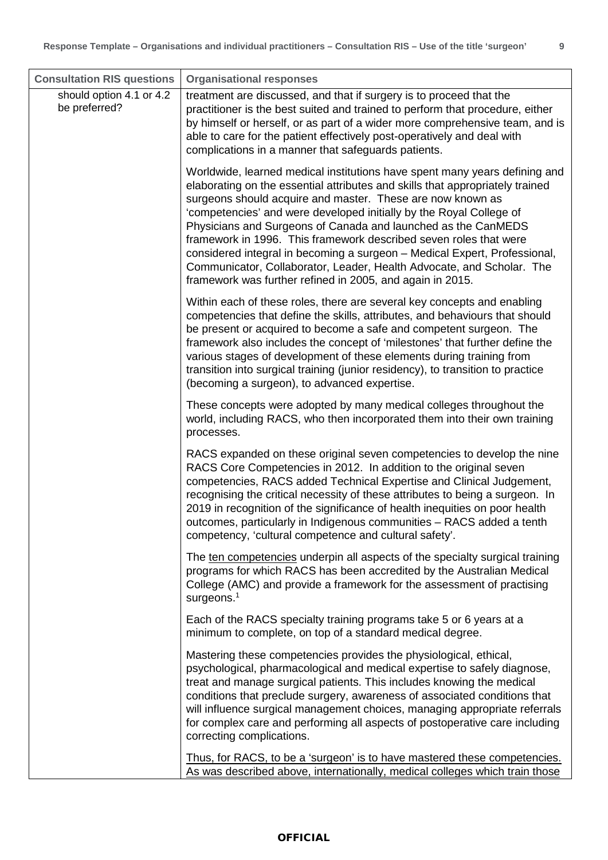| <b>Consultation RIS questions</b>         | <b>Organisational responses</b>                                                                                                                                                                                                                                                                                                                                                                                                                                                                                                                                                                                                                           |
|-------------------------------------------|-----------------------------------------------------------------------------------------------------------------------------------------------------------------------------------------------------------------------------------------------------------------------------------------------------------------------------------------------------------------------------------------------------------------------------------------------------------------------------------------------------------------------------------------------------------------------------------------------------------------------------------------------------------|
| should option 4.1 or 4.2<br>be preferred? | treatment are discussed, and that if surgery is to proceed that the<br>practitioner is the best suited and trained to perform that procedure, either<br>by himself or herself, or as part of a wider more comprehensive team, and is<br>able to care for the patient effectively post-operatively and deal with<br>complications in a manner that safeguards patients.                                                                                                                                                                                                                                                                                    |
|                                           | Worldwide, learned medical institutions have spent many years defining and<br>elaborating on the essential attributes and skills that appropriately trained<br>surgeons should acquire and master. These are now known as<br>'competencies' and were developed initially by the Royal College of<br>Physicians and Surgeons of Canada and launched as the CanMEDS<br>framework in 1996. This framework described seven roles that were<br>considered integral in becoming a surgeon - Medical Expert, Professional,<br>Communicator, Collaborator, Leader, Health Advocate, and Scholar. The<br>framework was further refined in 2005, and again in 2015. |
|                                           | Within each of these roles, there are several key concepts and enabling<br>competencies that define the skills, attributes, and behaviours that should<br>be present or acquired to become a safe and competent surgeon. The<br>framework also includes the concept of 'milestones' that further define the<br>various stages of development of these elements during training from<br>transition into surgical training (junior residency), to transition to practice<br>(becoming a surgeon), to advanced expertise.                                                                                                                                    |
|                                           | These concepts were adopted by many medical colleges throughout the<br>world, including RACS, who then incorporated them into their own training<br>processes.                                                                                                                                                                                                                                                                                                                                                                                                                                                                                            |
|                                           | RACS expanded on these original seven competencies to develop the nine<br>RACS Core Competencies in 2012. In addition to the original seven<br>competencies, RACS added Technical Expertise and Clinical Judgement,<br>recognising the critical necessity of these attributes to being a surgeon. In<br>2019 in recognition of the significance of health inequities on poor health<br>outcomes, particularly in Indigenous communities - RACS added a tenth<br>competency, 'cultural competence and cultural safety'.                                                                                                                                    |
|                                           | The ten competencies underpin all aspects of the specialty surgical training<br>programs for which RACS has been accredited by the Australian Medical<br>College (AMC) and provide a framework for the assessment of practising<br>surgeons. <sup>1</sup>                                                                                                                                                                                                                                                                                                                                                                                                 |
|                                           | Each of the RACS specialty training programs take 5 or 6 years at a<br>minimum to complete, on top of a standard medical degree.                                                                                                                                                                                                                                                                                                                                                                                                                                                                                                                          |
|                                           | Mastering these competencies provides the physiological, ethical,<br>psychological, pharmacological and medical expertise to safely diagnose,<br>treat and manage surgical patients. This includes knowing the medical<br>conditions that preclude surgery, awareness of associated conditions that<br>will influence surgical management choices, managing appropriate referrals<br>for complex care and performing all aspects of postoperative care including<br>correcting complications.                                                                                                                                                             |
|                                           | Thus, for RACS, to be a 'surgeon' is to have mastered these competencies.<br>As was described above, internationally, medical colleges which train those                                                                                                                                                                                                                                                                                                                                                                                                                                                                                                  |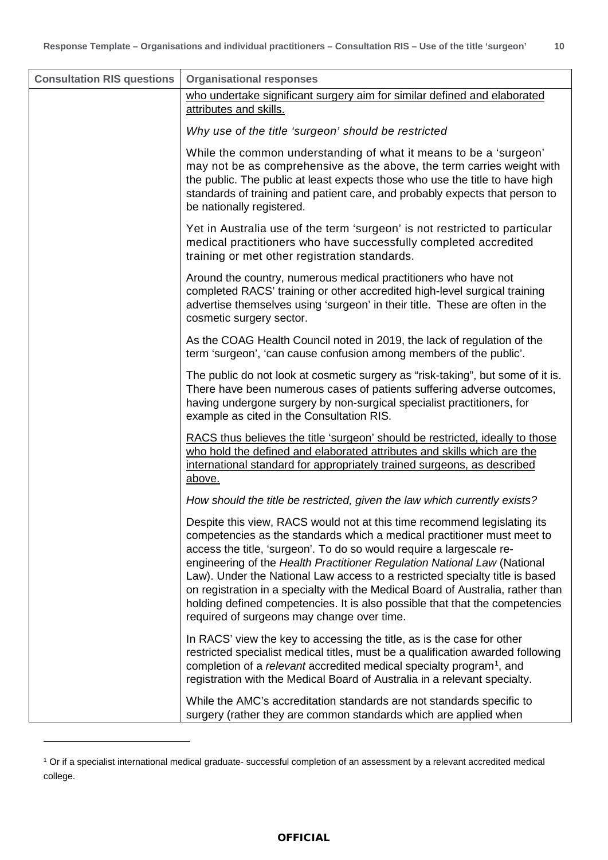| <b>Consultation RIS questions</b> | <b>Organisational responses</b>                                                                                                                                                                                                                                                                                                                                                                                                                                                                                                                                                                          |
|-----------------------------------|----------------------------------------------------------------------------------------------------------------------------------------------------------------------------------------------------------------------------------------------------------------------------------------------------------------------------------------------------------------------------------------------------------------------------------------------------------------------------------------------------------------------------------------------------------------------------------------------------------|
|                                   | who undertake significant surgery aim for similar defined and elaborated<br>attributes and skills.                                                                                                                                                                                                                                                                                                                                                                                                                                                                                                       |
|                                   | Why use of the title 'surgeon' should be restricted                                                                                                                                                                                                                                                                                                                                                                                                                                                                                                                                                      |
|                                   | While the common understanding of what it means to be a 'surgeon'<br>may not be as comprehensive as the above, the term carries weight with<br>the public. The public at least expects those who use the title to have high<br>standards of training and patient care, and probably expects that person to<br>be nationally registered.                                                                                                                                                                                                                                                                  |
|                                   | Yet in Australia use of the term 'surgeon' is not restricted to particular<br>medical practitioners who have successfully completed accredited<br>training or met other registration standards.                                                                                                                                                                                                                                                                                                                                                                                                          |
|                                   | Around the country, numerous medical practitioners who have not<br>completed RACS' training or other accredited high-level surgical training<br>advertise themselves using 'surgeon' in their title. These are often in the<br>cosmetic surgery sector.                                                                                                                                                                                                                                                                                                                                                  |
|                                   | As the COAG Health Council noted in 2019, the lack of regulation of the<br>term 'surgeon', 'can cause confusion among members of the public'.                                                                                                                                                                                                                                                                                                                                                                                                                                                            |
|                                   | The public do not look at cosmetic surgery as "risk-taking", but some of it is.<br>There have been numerous cases of patients suffering adverse outcomes,<br>having undergone surgery by non-surgical specialist practitioners, for<br>example as cited in the Consultation RIS.                                                                                                                                                                                                                                                                                                                         |
|                                   | RACS thus believes the title 'surgeon' should be restricted, ideally to those<br>who hold the defined and elaborated attributes and skills which are the<br>international standard for appropriately trained surgeons, as described<br>above.                                                                                                                                                                                                                                                                                                                                                            |
|                                   | How should the title be restricted, given the law which currently exists?                                                                                                                                                                                                                                                                                                                                                                                                                                                                                                                                |
|                                   | Despite this view, RACS would not at this time recommend legislating its<br>competencies as the standards which a medical practitioner must meet to<br>access the title, 'surgeon'. To do so would require a largescale re-<br>engineering of the Health Practitioner Regulation National Law (National<br>Law). Under the National Law access to a restricted specialty title is based<br>on registration in a specialty with the Medical Board of Australia, rather than<br>holding defined competencies. It is also possible that that the competencies<br>required of surgeons may change over time. |
|                                   | In RACS' view the key to accessing the title, as is the case for other<br>restricted specialist medical titles, must be a qualification awarded following<br>completion of a relevant accredited medical specialty program <sup>1</sup> , and<br>registration with the Medical Board of Australia in a relevant specialty.                                                                                                                                                                                                                                                                               |
|                                   | While the AMC's accreditation standards are not standards specific to<br>surgery (rather they are common standards which are applied when                                                                                                                                                                                                                                                                                                                                                                                                                                                                |

<span id="page-9-0"></span><sup>1</sup> Or if a specialist international medical graduate- successful completion of an assessment by a relevant accredited medical college.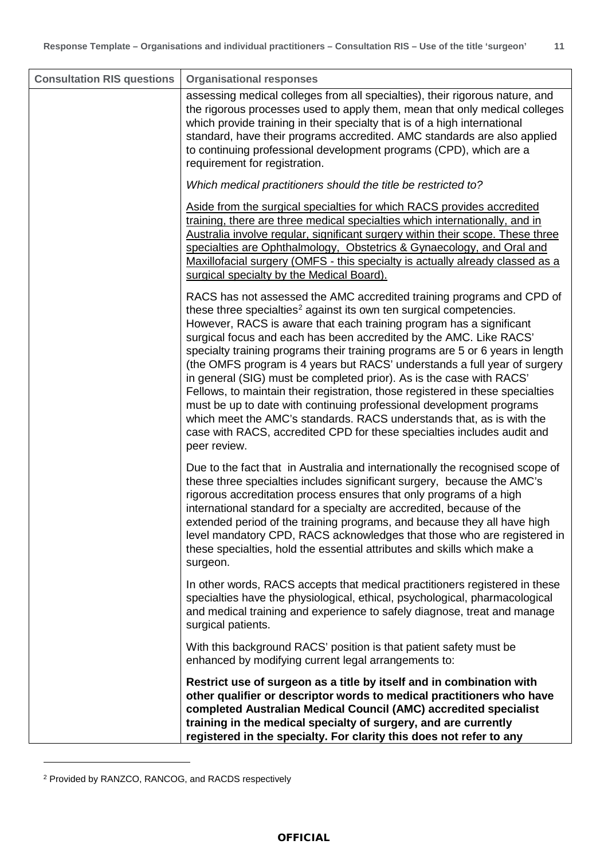| <b>Consultation RIS questions</b> | <b>Organisational responses</b>                                                                                                                                                                                                                                                                                                                                                                                                                                                                                                                                                                                                                                                                                                                                                                                                                                            |
|-----------------------------------|----------------------------------------------------------------------------------------------------------------------------------------------------------------------------------------------------------------------------------------------------------------------------------------------------------------------------------------------------------------------------------------------------------------------------------------------------------------------------------------------------------------------------------------------------------------------------------------------------------------------------------------------------------------------------------------------------------------------------------------------------------------------------------------------------------------------------------------------------------------------------|
|                                   | assessing medical colleges from all specialties), their rigorous nature, and<br>the rigorous processes used to apply them, mean that only medical colleges<br>which provide training in their specialty that is of a high international<br>standard, have their programs accredited. AMC standards are also applied<br>to continuing professional development programs (CPD), which are a<br>requirement for registration.                                                                                                                                                                                                                                                                                                                                                                                                                                                 |
|                                   | Which medical practitioners should the title be restricted to?                                                                                                                                                                                                                                                                                                                                                                                                                                                                                                                                                                                                                                                                                                                                                                                                             |
|                                   | Aside from the surgical specialties for which RACS provides accredited<br>training, there are three medical specialties which internationally, and in<br>Australia involve regular, significant surgery within their scope. These three<br>specialties are Ophthalmology, Obstetrics & Gynaecology, and Oral and<br>Maxillofacial surgery (OMFS - this specialty is actually already classed as a<br>surgical specialty by the Medical Board).                                                                                                                                                                                                                                                                                                                                                                                                                             |
|                                   | RACS has not assessed the AMC accredited training programs and CPD of<br>these three specialties <sup>2</sup> against its own ten surgical competencies.<br>However, RACS is aware that each training program has a significant<br>surgical focus and each has been accredited by the AMC. Like RACS'<br>specialty training programs their training programs are 5 or 6 years in length<br>(the OMFS program is 4 years but RACS' understands a full year of surgery<br>in general (SIG) must be completed prior). As is the case with RACS'<br>Fellows, to maintain their registration, those registered in these specialties<br>must be up to date with continuing professional development programs<br>which meet the AMC's standards. RACS understands that, as is with the<br>case with RACS, accredited CPD for these specialties includes audit and<br>peer review. |
|                                   | Due to the fact that in Australia and internationally the recognised scope of<br>these three specialties includes significant surgery, because the AMC's<br>rigorous accreditation process ensures that only programs of a high<br>international standard for a specialty are accredited, because of the<br>extended period of the training programs, and because they all have high<br>level mandatory CPD, RACS acknowledges that those who are registered in<br>these specialties, hold the essential attributes and skills which make a<br>surgeon.                                                                                                                                                                                                                                                                                                                    |
|                                   | In other words, RACS accepts that medical practitioners registered in these<br>specialties have the physiological, ethical, psychological, pharmacological<br>and medical training and experience to safely diagnose, treat and manage<br>surgical patients.                                                                                                                                                                                                                                                                                                                                                                                                                                                                                                                                                                                                               |
|                                   | With this background RACS' position is that patient safety must be<br>enhanced by modifying current legal arrangements to:                                                                                                                                                                                                                                                                                                                                                                                                                                                                                                                                                                                                                                                                                                                                                 |
|                                   | Restrict use of surgeon as a title by itself and in combination with<br>other qualifier or descriptor words to medical practitioners who have<br>completed Australian Medical Council (AMC) accredited specialist<br>training in the medical specialty of surgery, and are currently<br>registered in the specialty. For clarity this does not refer to any                                                                                                                                                                                                                                                                                                                                                                                                                                                                                                                |

<span id="page-10-0"></span><sup>2</sup> Provided by RANZCO, RANCOG, and RACDS respectively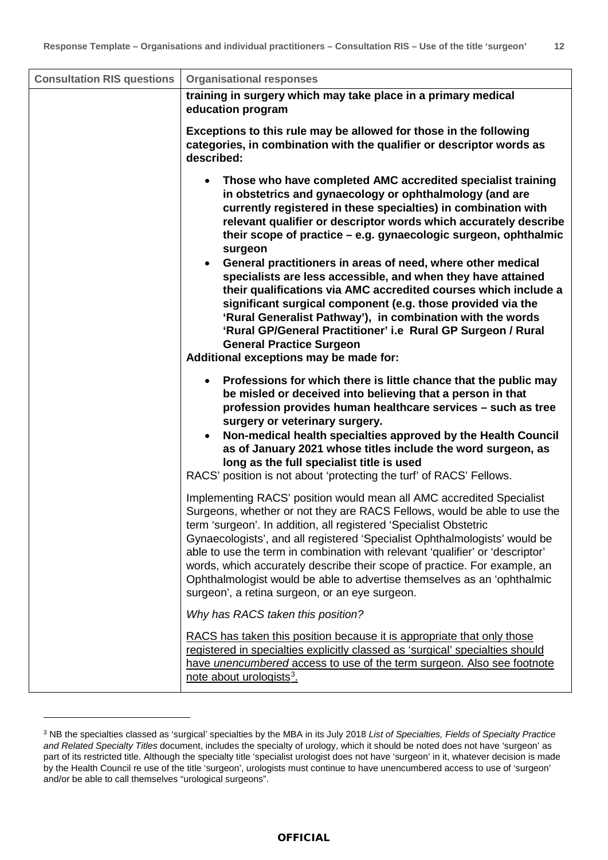| <b>Consultation RIS questions</b> | <b>Organisational responses</b>                                                                                                                                                                                                                                                                                                                                                                                                                                                                                                                                                                                                                                                                                                                                                                                                                  |
|-----------------------------------|--------------------------------------------------------------------------------------------------------------------------------------------------------------------------------------------------------------------------------------------------------------------------------------------------------------------------------------------------------------------------------------------------------------------------------------------------------------------------------------------------------------------------------------------------------------------------------------------------------------------------------------------------------------------------------------------------------------------------------------------------------------------------------------------------------------------------------------------------|
|                                   | training in surgery which may take place in a primary medical<br>education program                                                                                                                                                                                                                                                                                                                                                                                                                                                                                                                                                                                                                                                                                                                                                               |
|                                   | Exceptions to this rule may be allowed for those in the following<br>categories, in combination with the qualifier or descriptor words as<br>described:                                                                                                                                                                                                                                                                                                                                                                                                                                                                                                                                                                                                                                                                                          |
|                                   | Those who have completed AMC accredited specialist training<br>$\bullet$<br>in obstetrics and gynaecology or ophthalmology (and are<br>currently registered in these specialties) in combination with<br>relevant qualifier or descriptor words which accurately describe<br>their scope of practice - e.g. gynaecologic surgeon, ophthalmic<br>surgeon<br>General practitioners in areas of need, where other medical<br>$\bullet$<br>specialists are less accessible, and when they have attained<br>their qualifications via AMC accredited courses which include a<br>significant surgical component (e.g. those provided via the<br>'Rural Generalist Pathway'), in combination with the words<br>'Rural GP/General Practitioner' i.e Rural GP Surgeon / Rural<br><b>General Practice Surgeon</b><br>Additional exceptions may be made for: |
|                                   | Professions for which there is little chance that the public may<br>$\bullet$<br>be misled or deceived into believing that a person in that<br>profession provides human healthcare services - such as tree<br>surgery or veterinary surgery.<br>Non-medical health specialties approved by the Health Council<br>$\bullet$<br>as of January 2021 whose titles include the word surgeon, as<br>long as the full specialist title is used<br>RACS' position is not about 'protecting the turf' of RACS' Fellows.                                                                                                                                                                                                                                                                                                                                  |
|                                   | Implementing RACS' position would mean all AMC accredited Specialist<br>Surgeons, whether or not they are RACS Fellows, would be able to use the<br>term 'surgeon'. In addition, all registered 'Specialist Obstetric<br>Gynaecologists', and all registered 'Specialist Ophthalmologists' would be<br>able to use the term in combination with relevant 'qualifier' or 'descriptor'<br>words, which accurately describe their scope of practice. For example, an<br>Ophthalmologist would be able to advertise themselves as an 'ophthalmic<br>surgeon', a retina surgeon, or an eye surgeon.                                                                                                                                                                                                                                                   |
|                                   | Why has RACS taken this position?                                                                                                                                                                                                                                                                                                                                                                                                                                                                                                                                                                                                                                                                                                                                                                                                                |
|                                   | RACS has taken this position because it is appropriate that only those<br>registered in specialties explicitly classed as 'surgical' specialties should<br>have <i>unencumbered</i> access to use of the term surgeon. Also see footnote<br>note about urologists <sup>3</sup> .                                                                                                                                                                                                                                                                                                                                                                                                                                                                                                                                                                 |

<span id="page-11-0"></span><sup>3</sup> NB the specialties classed as 'surgical' specialties by the MBA in its July 2018 *List of Specialties, Fields of Specialty Practice and Related Specialty Titles* document, includes the specialty of urology, which it should be noted does not have 'surgeon' as part of its restricted title. Although the specialty title 'specialist urologist does not have 'surgeon' in it, whatever decision is made by the Health Council re use of the title 'surgeon', urologists must continue to have unencumbered access to use of 'surgeon' and/or be able to call themselves "urological surgeons".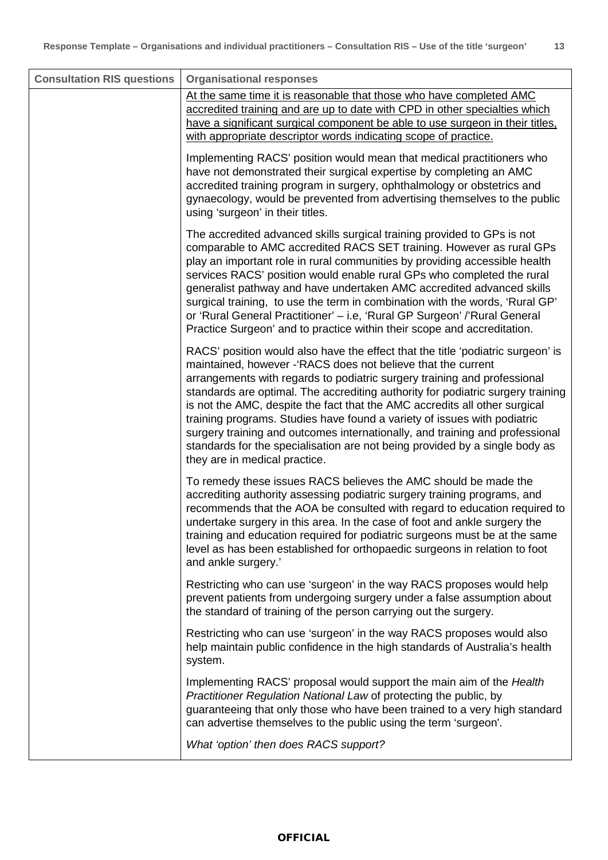| <b>Consultation RIS questions</b> | <b>Organisational responses</b>                                                                                                                                                                                                                                                                                                                                                                                                                                                                                                                                                                                                                                          |
|-----------------------------------|--------------------------------------------------------------------------------------------------------------------------------------------------------------------------------------------------------------------------------------------------------------------------------------------------------------------------------------------------------------------------------------------------------------------------------------------------------------------------------------------------------------------------------------------------------------------------------------------------------------------------------------------------------------------------|
|                                   | At the same time it is reasonable that those who have completed AMC<br>accredited training and are up to date with CPD in other specialties which<br>have a significant surgical component be able to use surgeon in their titles,<br>with appropriate descriptor words indicating scope of practice.                                                                                                                                                                                                                                                                                                                                                                    |
|                                   | Implementing RACS' position would mean that medical practitioners who<br>have not demonstrated their surgical expertise by completing an AMC<br>accredited training program in surgery, ophthalmology or obstetrics and<br>gynaecology, would be prevented from advertising themselves to the public<br>using 'surgeon' in their titles.                                                                                                                                                                                                                                                                                                                                 |
|                                   | The accredited advanced skills surgical training provided to GPs is not<br>comparable to AMC accredited RACS SET training. However as rural GPs<br>play an important role in rural communities by providing accessible health<br>services RACS' position would enable rural GPs who completed the rural<br>generalist pathway and have undertaken AMC accredited advanced skills<br>surgical training, to use the term in combination with the words, 'Rural GP'<br>or 'Rural General Practitioner' - i.e, 'Rural GP Surgeon' /'Rural General<br>Practice Surgeon' and to practice within their scope and accreditation.                                                 |
|                                   | RACS' position would also have the effect that the title 'podiatric surgeon' is<br>maintained, however - RACS does not believe that the current<br>arrangements with regards to podiatric surgery training and professional<br>standards are optimal. The accrediting authority for podiatric surgery training<br>is not the AMC, despite the fact that the AMC accredits all other surgical<br>training programs. Studies have found a variety of issues with podiatric<br>surgery training and outcomes internationally, and training and professional<br>standards for the specialisation are not being provided by a single body as<br>they are in medical practice. |
|                                   | To remedy these issues RACS believes the AMC should be made the<br>accrediting authority assessing podiatric surgery training programs, and<br>recommends that the AOA be consulted with regard to education required to<br>undertake surgery in this area. In the case of foot and ankle surgery the<br>training and education required for podiatric surgeons must be at the same<br>level as has been established for orthopaedic surgeons in relation to foot<br>and ankle surgery.'                                                                                                                                                                                 |
|                                   | Restricting who can use 'surgeon' in the way RACS proposes would help<br>prevent patients from undergoing surgery under a false assumption about<br>the standard of training of the person carrying out the surgery.                                                                                                                                                                                                                                                                                                                                                                                                                                                     |
|                                   | Restricting who can use 'surgeon' in the way RACS proposes would also<br>help maintain public confidence in the high standards of Australia's health<br>system.                                                                                                                                                                                                                                                                                                                                                                                                                                                                                                          |
|                                   | Implementing RACS' proposal would support the main aim of the Health<br>Practitioner Regulation National Law of protecting the public, by<br>guaranteeing that only those who have been trained to a very high standard<br>can advertise themselves to the public using the term 'surgeon'.                                                                                                                                                                                                                                                                                                                                                                              |
|                                   | What 'option' then does RACS support?                                                                                                                                                                                                                                                                                                                                                                                                                                                                                                                                                                                                                                    |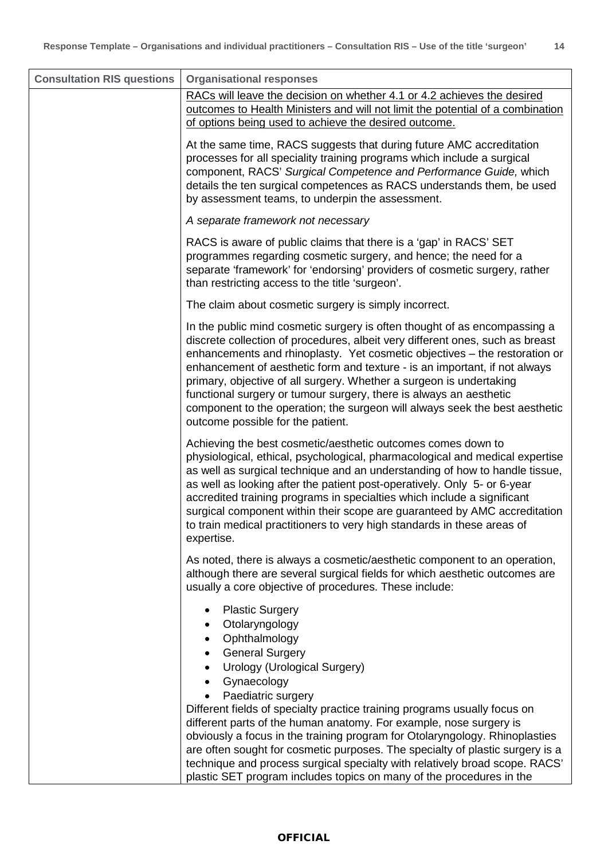| <b>Consultation RIS questions</b> | <b>Organisational responses</b>                                                                                                                                                                                                                                                                                                                                                                                                                                                                                                                                                         |
|-----------------------------------|-----------------------------------------------------------------------------------------------------------------------------------------------------------------------------------------------------------------------------------------------------------------------------------------------------------------------------------------------------------------------------------------------------------------------------------------------------------------------------------------------------------------------------------------------------------------------------------------|
|                                   | RACs will leave the decision on whether 4.1 or 4.2 achieves the desired<br>outcomes to Health Ministers and will not limit the potential of a combination<br>of options being used to achieve the desired outcome.                                                                                                                                                                                                                                                                                                                                                                      |
|                                   | At the same time, RACS suggests that during future AMC accreditation<br>processes for all speciality training programs which include a surgical<br>component, RACS' Surgical Competence and Performance Guide, which<br>details the ten surgical competences as RACS understands them, be used<br>by assessment teams, to underpin the assessment.                                                                                                                                                                                                                                      |
|                                   | A separate framework not necessary                                                                                                                                                                                                                                                                                                                                                                                                                                                                                                                                                      |
|                                   | RACS is aware of public claims that there is a 'gap' in RACS' SET<br>programmes regarding cosmetic surgery, and hence; the need for a<br>separate 'framework' for 'endorsing' providers of cosmetic surgery, rather<br>than restricting access to the title 'surgeon'.                                                                                                                                                                                                                                                                                                                  |
|                                   | The claim about cosmetic surgery is simply incorrect.                                                                                                                                                                                                                                                                                                                                                                                                                                                                                                                                   |
|                                   | In the public mind cosmetic surgery is often thought of as encompassing a<br>discrete collection of procedures, albeit very different ones, such as breast<br>enhancements and rhinoplasty. Yet cosmetic objectives - the restoration or<br>enhancement of aesthetic form and texture - is an important, if not always<br>primary, objective of all surgery. Whether a surgeon is undertaking<br>functional surgery or tumour surgery, there is always an aesthetic<br>component to the operation; the surgeon will always seek the best aesthetic<br>outcome possible for the patient. |
|                                   | Achieving the best cosmetic/aesthetic outcomes comes down to<br>physiological, ethical, psychological, pharmacological and medical expertise<br>as well as surgical technique and an understanding of how to handle tissue,<br>as well as looking after the patient post-operatively. Only 5- or 6-year<br>accredited training programs in specialties which include a significant<br>surgical component within their scope are guaranteed by AMC accreditation<br>to train medical practitioners to very high standards in these areas of<br>expertise.                                |
|                                   | As noted, there is always a cosmetic/aesthetic component to an operation,<br>although there are several surgical fields for which aesthetic outcomes are<br>usually a core objective of procedures. These include:                                                                                                                                                                                                                                                                                                                                                                      |
|                                   | <b>Plastic Surgery</b><br>٠<br>Otolaryngology<br>Ophthalmology<br>$\bullet$<br><b>General Surgery</b><br>$\bullet$<br><b>Urology (Urological Surgery)</b><br>٠<br>Gynaecology<br>$\bullet$                                                                                                                                                                                                                                                                                                                                                                                              |
|                                   | Paediatric surgery<br>Different fields of specialty practice training programs usually focus on<br>different parts of the human anatomy. For example, nose surgery is<br>obviously a focus in the training program for Otolaryngology. Rhinoplasties<br>are often sought for cosmetic purposes. The specialty of plastic surgery is a<br>technique and process surgical specialty with relatively broad scope. RACS'<br>plastic SET program includes topics on many of the procedures in the                                                                                            |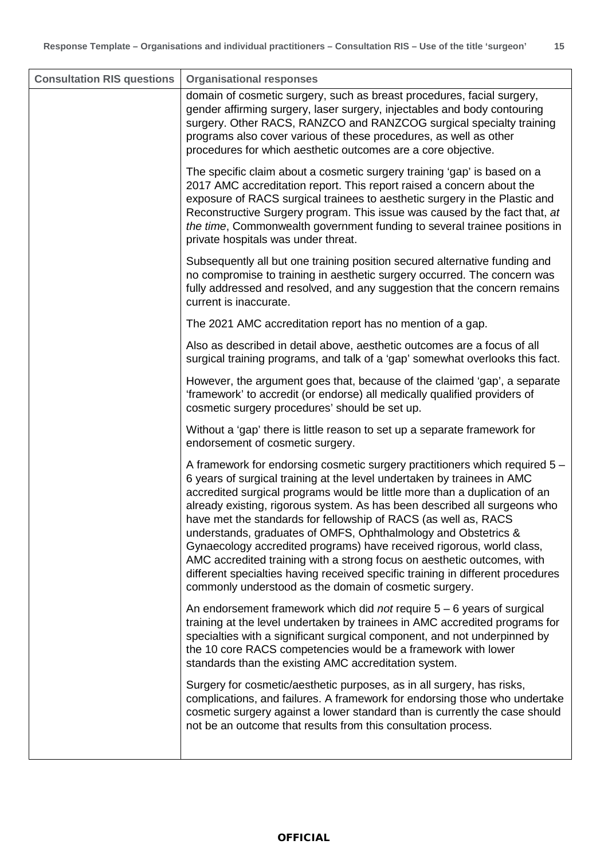| <b>Consultation RIS questions</b> | <b>Organisational responses</b>                                                                                                                                                                                                                                                                                                                                                                                                                                                                                                                                                                                                                                                                                                                         |
|-----------------------------------|---------------------------------------------------------------------------------------------------------------------------------------------------------------------------------------------------------------------------------------------------------------------------------------------------------------------------------------------------------------------------------------------------------------------------------------------------------------------------------------------------------------------------------------------------------------------------------------------------------------------------------------------------------------------------------------------------------------------------------------------------------|
|                                   | domain of cosmetic surgery, such as breast procedures, facial surgery,<br>gender affirming surgery, laser surgery, injectables and body contouring<br>surgery. Other RACS, RANZCO and RANZCOG surgical specialty training<br>programs also cover various of these procedures, as well as other<br>procedures for which aesthetic outcomes are a core objective.                                                                                                                                                                                                                                                                                                                                                                                         |
|                                   | The specific claim about a cosmetic surgery training 'gap' is based on a<br>2017 AMC accreditation report. This report raised a concern about the<br>exposure of RACS surgical trainees to aesthetic surgery in the Plastic and<br>Reconstructive Surgery program. This issue was caused by the fact that, at<br>the time, Commonwealth government funding to several trainee positions in<br>private hospitals was under threat.                                                                                                                                                                                                                                                                                                                       |
|                                   | Subsequently all but one training position secured alternative funding and<br>no compromise to training in aesthetic surgery occurred. The concern was<br>fully addressed and resolved, and any suggestion that the concern remains<br>current is inaccurate.                                                                                                                                                                                                                                                                                                                                                                                                                                                                                           |
|                                   | The 2021 AMC accreditation report has no mention of a gap.                                                                                                                                                                                                                                                                                                                                                                                                                                                                                                                                                                                                                                                                                              |
|                                   | Also as described in detail above, aesthetic outcomes are a focus of all<br>surgical training programs, and talk of a 'gap' somewhat overlooks this fact.                                                                                                                                                                                                                                                                                                                                                                                                                                                                                                                                                                                               |
|                                   | However, the argument goes that, because of the claimed 'gap', a separate<br>'framework' to accredit (or endorse) all medically qualified providers of<br>cosmetic surgery procedures' should be set up.                                                                                                                                                                                                                                                                                                                                                                                                                                                                                                                                                |
|                                   | Without a 'gap' there is little reason to set up a separate framework for<br>endorsement of cosmetic surgery.                                                                                                                                                                                                                                                                                                                                                                                                                                                                                                                                                                                                                                           |
|                                   | A framework for endorsing cosmetic surgery practitioners which required 5 -<br>6 years of surgical training at the level undertaken by trainees in AMC<br>accredited surgical programs would be little more than a duplication of an<br>already existing, rigorous system. As has been described all surgeons who<br>have met the standards for fellowship of RACS (as well as, RACS<br>understands, graduates of OMFS, Ophthalmology and Obstetrics &<br>Gynaecology accredited programs) have received rigorous, world class,<br>AMC accredited training with a strong focus on aesthetic outcomes, with<br>different specialties having received specific training in different procedures<br>commonly understood as the domain of cosmetic surgery. |
|                                   | An endorsement framework which did not require $5 - 6$ years of surgical<br>training at the level undertaken by trainees in AMC accredited programs for<br>specialties with a significant surgical component, and not underpinned by<br>the 10 core RACS competencies would be a framework with lower<br>standards than the existing AMC accreditation system.                                                                                                                                                                                                                                                                                                                                                                                          |
|                                   | Surgery for cosmetic/aesthetic purposes, as in all surgery, has risks,<br>complications, and failures. A framework for endorsing those who undertake<br>cosmetic surgery against a lower standard than is currently the case should<br>not be an outcome that results from this consultation process.                                                                                                                                                                                                                                                                                                                                                                                                                                                   |
|                                   |                                                                                                                                                                                                                                                                                                                                                                                                                                                                                                                                                                                                                                                                                                                                                         |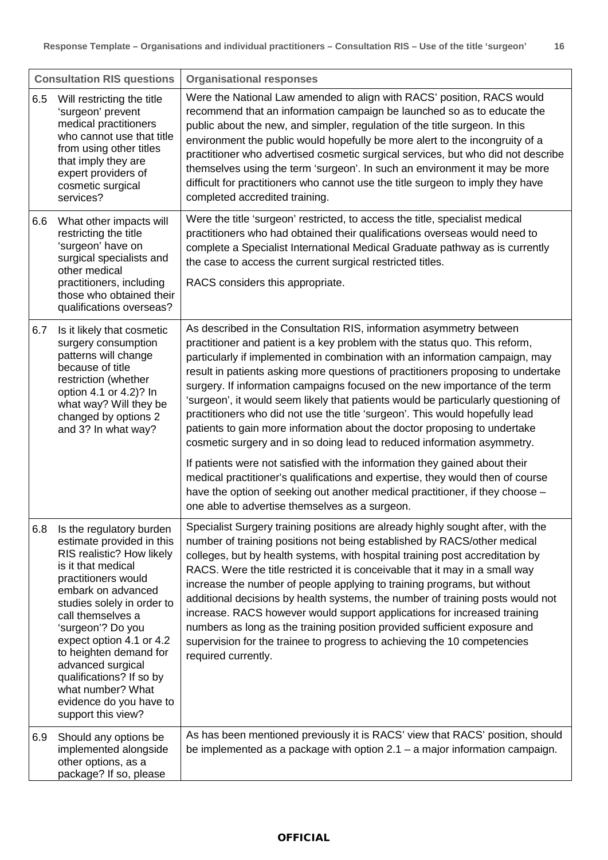|     | <b>Consultation RIS questions</b>                                                                                                                                                                                                                                                                                                                                              | <b>Organisational responses</b>                                                                                                                                                                                                                                                                                                                                                                                                                                                                                                                                                                                                                                                                                                                                                                                                                                                                      |
|-----|--------------------------------------------------------------------------------------------------------------------------------------------------------------------------------------------------------------------------------------------------------------------------------------------------------------------------------------------------------------------------------|------------------------------------------------------------------------------------------------------------------------------------------------------------------------------------------------------------------------------------------------------------------------------------------------------------------------------------------------------------------------------------------------------------------------------------------------------------------------------------------------------------------------------------------------------------------------------------------------------------------------------------------------------------------------------------------------------------------------------------------------------------------------------------------------------------------------------------------------------------------------------------------------------|
| 6.5 | Will restricting the title<br>'surgeon' prevent<br>medical practitioners<br>who cannot use that title<br>from using other titles<br>that imply they are<br>expert providers of<br>cosmetic surgical<br>services?                                                                                                                                                               | Were the National Law amended to align with RACS' position, RACS would<br>recommend that an information campaign be launched so as to educate the<br>public about the new, and simpler, regulation of the title surgeon. In this<br>environment the public would hopefully be more alert to the incongruity of a<br>practitioner who advertised cosmetic surgical services, but who did not describe<br>themselves using the term 'surgeon'. In such an environment it may be more<br>difficult for practitioners who cannot use the title surgeon to imply they have<br>completed accredited training.                                                                                                                                                                                                                                                                                              |
| 6.6 | What other impacts will<br>restricting the title<br>'surgeon' have on<br>surgical specialists and<br>other medical<br>practitioners, including<br>those who obtained their<br>qualifications overseas?                                                                                                                                                                         | Were the title 'surgeon' restricted, to access the title, specialist medical<br>practitioners who had obtained their qualifications overseas would need to<br>complete a Specialist International Medical Graduate pathway as is currently<br>the case to access the current surgical restricted titles.<br>RACS considers this appropriate.                                                                                                                                                                                                                                                                                                                                                                                                                                                                                                                                                         |
| 6.7 | Is it likely that cosmetic<br>surgery consumption<br>patterns will change<br>because of title<br>restriction (whether<br>option 4.1 or 4.2)? In<br>what way? Will they be<br>changed by options 2<br>and 3? In what way?                                                                                                                                                       | As described in the Consultation RIS, information asymmetry between<br>practitioner and patient is a key problem with the status quo. This reform,<br>particularly if implemented in combination with an information campaign, may<br>result in patients asking more questions of practitioners proposing to undertake<br>surgery. If information campaigns focused on the new importance of the term<br>'surgeon', it would seem likely that patients would be particularly questioning of<br>practitioners who did not use the title 'surgeon'. This would hopefully lead<br>patients to gain more information about the doctor proposing to undertake<br>cosmetic surgery and in so doing lead to reduced information asymmetry.<br>If patients were not satisfied with the information they gained about their<br>medical practitioner's qualifications and expertise, they would then of course |
|     | 6.8 Is the regulatory burden                                                                                                                                                                                                                                                                                                                                                   | have the option of seeking out another medical practitioner, if they choose -<br>one able to advertise themselves as a surgeon.<br>Specialist Surgery training positions are already highly sought after, with the                                                                                                                                                                                                                                                                                                                                                                                                                                                                                                                                                                                                                                                                                   |
|     | estimate provided in this<br>RIS realistic? How likely<br>is it that medical<br>practitioners would<br>embark on advanced<br>studies solely in order to<br>call themselves a<br>'surgeon'? Do you<br>expect option 4.1 or 4.2<br>to heighten demand for<br>advanced surgical<br>qualifications? If so by<br>what number? What<br>evidence do you have to<br>support this view? | number of training positions not being established by RACS/other medical<br>colleges, but by health systems, with hospital training post accreditation by<br>RACS. Were the title restricted it is conceivable that it may in a small way<br>increase the number of people applying to training programs, but without<br>additional decisions by health systems, the number of training posts would not<br>increase. RACS however would support applications for increased training<br>numbers as long as the training position provided sufficient exposure and<br>supervision for the trainee to progress to achieving the 10 competencies<br>required currently.                                                                                                                                                                                                                                  |
| 6.9 | Should any options be<br>implemented alongside<br>other options, as a<br>package? If so, please                                                                                                                                                                                                                                                                                | As has been mentioned previously it is RACS' view that RACS' position, should<br>be implemented as a package with option $2.1 - a$ major information campaign.                                                                                                                                                                                                                                                                                                                                                                                                                                                                                                                                                                                                                                                                                                                                       |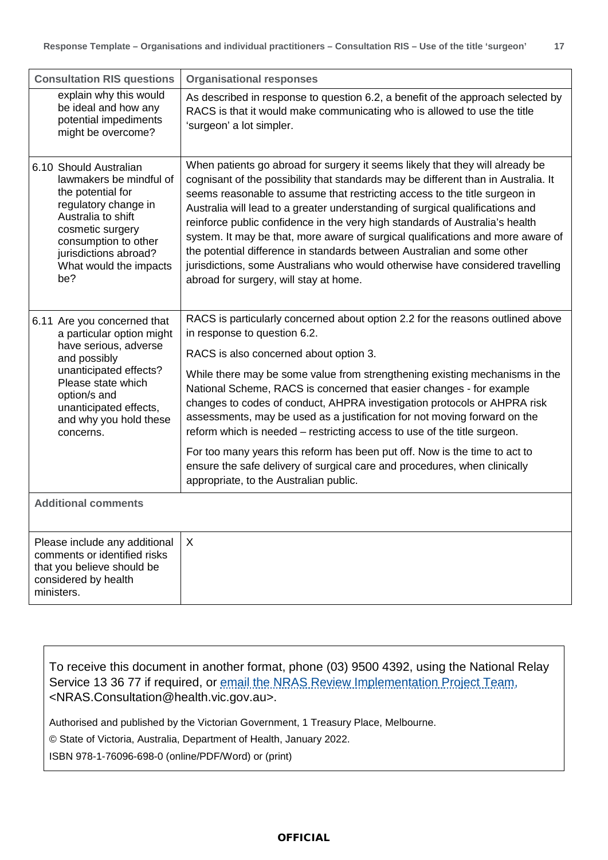| <b>Consultation RIS questions</b>                                                                                                                                                                                                  | <b>Organisational responses</b>                                                                                                                                                                                                                                                                                                                                                                                                                                                                                                                                                                                                                                                                                                                           |
|------------------------------------------------------------------------------------------------------------------------------------------------------------------------------------------------------------------------------------|-----------------------------------------------------------------------------------------------------------------------------------------------------------------------------------------------------------------------------------------------------------------------------------------------------------------------------------------------------------------------------------------------------------------------------------------------------------------------------------------------------------------------------------------------------------------------------------------------------------------------------------------------------------------------------------------------------------------------------------------------------------|
| explain why this would<br>be ideal and how any<br>potential impediments<br>might be overcome?                                                                                                                                      | As described in response to question 6.2, a benefit of the approach selected by<br>RACS is that it would make communicating who is allowed to use the title<br>'surgeon' a lot simpler.                                                                                                                                                                                                                                                                                                                                                                                                                                                                                                                                                                   |
| 6.10 Should Australian<br>lawmakers be mindful of<br>the potential for<br>regulatory change in<br>Australia to shift<br>cosmetic surgery<br>consumption to other<br>jurisdictions abroad?<br>What would the impacts<br>be?         | When patients go abroad for surgery it seems likely that they will already be<br>cognisant of the possibility that standards may be different than in Australia. It<br>seems reasonable to assume that restricting access to the title surgeon in<br>Australia will lead to a greater understanding of surgical qualifications and<br>reinforce public confidence in the very high standards of Australia's health<br>system. It may be that, more aware of surgical qualifications and more aware of<br>the potential difference in standards between Australian and some other<br>jurisdictions, some Australians who would otherwise have considered travelling<br>abroad for surgery, will stay at home.                                              |
| 6.11 Are you concerned that<br>a particular option might<br>have serious, adverse<br>and possibly<br>unanticipated effects?<br>Please state which<br>option/s and<br>unanticipated effects,<br>and why you hold these<br>concerns. | RACS is particularly concerned about option 2.2 for the reasons outlined above<br>in response to question 6.2.<br>RACS is also concerned about option 3.<br>While there may be some value from strengthening existing mechanisms in the<br>National Scheme, RACS is concerned that easier changes - for example<br>changes to codes of conduct, AHPRA investigation protocols or AHPRA risk<br>assessments, may be used as a justification for not moving forward on the<br>reform which is needed – restricting access to use of the title surgeon.<br>For too many years this reform has been put off. Now is the time to act to<br>ensure the safe delivery of surgical care and procedures, when clinically<br>appropriate, to the Australian public. |
| <b>Additional comments</b>                                                                                                                                                                                                         |                                                                                                                                                                                                                                                                                                                                                                                                                                                                                                                                                                                                                                                                                                                                                           |
| Please include any additional<br>comments or identified risks<br>that you believe should be<br>considered by health<br>ministers.                                                                                                  | $\sf X$                                                                                                                                                                                                                                                                                                                                                                                                                                                                                                                                                                                                                                                                                                                                                   |

To receive this document in another format, phone (03) 9500 4392, using the National Relay Service 13 36 77 if required, or [email the NRAS Review Implementation Project Team,](mailto:nras.consultation@health.vic.gov.au) <NRAS.Consultation@health.vic.gov.au>.

Authorised and published by the Victorian Government, 1 Treasury Place, Melbourne.

© State of Victoria, Australia, Department of Health, January 2022.

ISBN 978-1-76096-698-0 (online/PDF/Word) or (print)